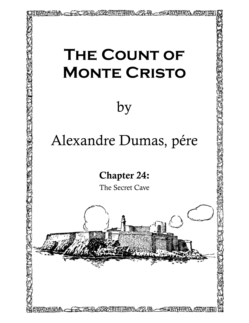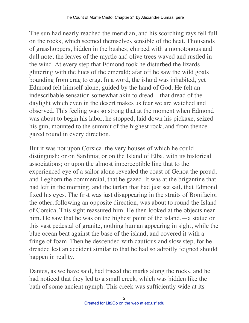The sun had nearly reached the meridian, and his scorching rays fell full on the rocks, which seemed themselves sensible of the heat. Thousands of grasshoppers, hidden in the bushes, chirped with a monotonous and dull note; the leaves of the myrtle and olive trees waved and rustled in the wind. At every step that Edmond took he disturbed the lizards glittering with the hues of the emerald; afar off he saw the wild goats bounding from crag to crag. In a word, the island was inhabited, yet Edmond felt himself alone, guided by the hand of God. He felt an indescribable sensation somewhat akin to dread—that dread of the daylight which even in the desert makes us fear we are watched and observed. This feeling was so strong that at the moment when Edmond was about to begin his labor, he stopped, laid down his pickaxe, seized his gun, mounted to the summit of the highest rock, and from thence gazed round in every direction.

But it was not upon Corsica, the very houses of which he could distinguish; or on Sardinia; or on the Island of Elba, with its historical associations; or upon the almost imperceptible line that to the experienced eye of a sailor alone revealed the coast of Genoa the proud, and Leghorn the commercial, that he gazed. It was at the brigantine that had left in the morning, and the tartan that had just set sail, that Edmond fixed his eyes. The first was just disappearing in the straits of Bonifacio; the other, following an opposite direction, was about to round the Island of Corsica. This sight reassured him. He then looked at the objects near him. He saw that he was on the highest point of the island,—a statue on this vast pedestal of granite, nothing human appearing in sight, while the blue ocean beat against the base of the island, and covered it with a fringe of foam. Then he descended with cautious and slow step, for he dreaded lest an accident similar to that he had so adroitly feigned should happen in reality.

Dantes, as we have said, had traced the marks along the rocks, and he had noticed that they led to a small creek, which was hidden like the bath of some ancient nymph. This creek was sufficiently wide at its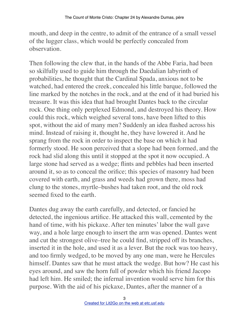mouth, and deep in the centre, to admit of the entrance of a small vessel of the lugger class, which would be perfectly concealed from observation.

Then following the clew that, in the hands of the Abbe Faria, had been so skilfully used to guide him through the Daedalian labyrinth of probabilities, he thought that the Cardinal Spada, anxious not to be watched, had entered the creek, concealed his little barque, followed the line marked by the notches in the rock, and at the end of it had buried his treasure. It was this idea that had brought Dantes back to the circular rock. One thing only perplexed Edmond, and destroyed his theory. How could this rock, which weighed several tons, have been lifted to this spot, without the aid of many men? Suddenly an idea flashed across his mind. Instead of raising it, thought he, they have lowered it. And he sprang from the rock in order to inspect the base on which it had formerly stood. He soon perceived that a slope had been formed, and the rock had slid along this until it stopped at the spot it now occupied. A large stone had served as a wedge; flints and pebbles had been inserted around it, so as to conceal the orifice; this species of masonry had been covered with earth, and grass and weeds had grown there, moss had clung to the stones, myrtle–bushes had taken root, and the old rock seemed fixed to the earth.

Dantes dug away the earth carefully, and detected, or fancied he detected, the ingenious artifice. He attacked this wall, cemented by the hand of time, with his pickaxe. After ten minutes' labor the wall gave way, and a hole large enough to insert the arm was opened. Dantes went and cut the strongest olive–tree he could find, stripped off its branches, inserted it in the hole, and used it as a lever. But the rock was too heavy, and too firmly wedged, to be moved by any one man, were he Hercules himself. Dantes saw that he must attack the wedge. But how? He cast his eyes around, and saw the horn full of powder which his friend Jacopo had left him. He smiled; the infernal invention would serve him for this purpose. With the aid of his pickaxe, Dantes, after the manner of a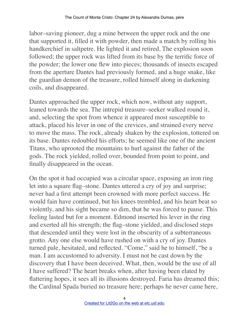labor–saving pioneer, dug a mine between the upper rock and the one that supported it, filled it with powder, then made a match by rolling his handkerchief in saltpetre. He lighted it and retired. The explosion soon followed; the upper rock was lifted from its base by the terrific force of the powder; the lower one flew into pieces; thousands of insects escaped from the aperture Dantes had previously formed, and a huge snake, like the guardian demon of the treasure, rolled himself along in darkening coils, and disappeared.

Dantes approached the upper rock, which now, without any support, leaned towards the sea. The intrepid treasure–seeker walked round it, and, selecting the spot from whence it appeared most susceptible to attack, placed his lever in one of the crevices, and strained every nerve to move the mass. The rock, already shaken by the explosion, tottered on its base. Dantes redoubled his efforts; he seemed like one of the ancient Titans, who uprooted the mountains to hurl against the father of the gods. The rock yielded, rolled over, bounded from point to point, and finally disappeared in the ocean.

On the spot it had occupied was a circular space, exposing an iron ring let into a square flag–stone. Dantes uttered a cry of joy and surprise; never had a first attempt been crowned with more perfect success. He would fain have continued, but his knees trembled, and his heart beat so violently, and his sight became so dim, that he was forced to pause. This feeling lasted but for a moment. Edmond inserted his lever in the ring and exerted all his strength; the flag–stone yielded, and disclosed steps that descended until they were lost in the obscurity of a subterraneous grotto. Any one else would have rushed on with a cry of joy. Dantes turned pale, hesitated, and reflected. "Come," said he to himself, "be a man. I am accustomed to adversity. I must not be cast down by the discovery that I have been deceived. What, then, would be the use of all I have suffered? The heart breaks when, after having been elated by flattering hopes, it sees all its illusions destroyed. Faria has dreamed this; the Cardinal Spada buried no treasure here; perhaps he never came here,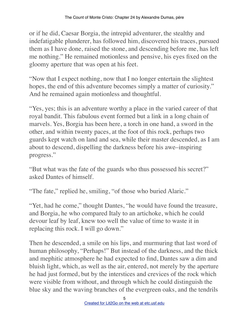or if he did, Caesar Borgia, the intrepid adventurer, the stealthy and indefatigable plunderer, has followed him, discovered his traces, pursued them as I have done, raised the stone, and descending before me, has left me nothing." He remained motionless and pensive, his eyes fixed on the gloomy aperture that was open at his feet.

"Now that I expect nothing, now that I no longer entertain the slightest hopes, the end of this adventure becomes simply a matter of curiosity." And he remained again motionless and thoughtful.

"Yes, yes; this is an adventure worthy a place in the varied career of that royal bandit. This fabulous event formed but a link in a long chain of marvels. Yes, Borgia has been here, a torch in one hand, a sword in the other, and within twenty paces, at the foot of this rock, perhaps two guards kept watch on land and sea, while their master descended, as I am about to descend, dispelling the darkness before his awe–inspiring progress."

"But what was the fate of the guards who thus possessed his secret?" asked Dantes of himself.

"The fate," replied he, smiling, "of those who buried Alaric."

"Yet, had he come," thought Dantes, "he would have found the treasure, and Borgia, he who compared Italy to an artichoke, which he could devour leaf by leaf, knew too well the value of time to waste it in replacing this rock. I will go down."

Then he descended, a smile on his lips, and murmuring that last word of human philosophy, "Perhaps!" But instead of the darkness, and the thick and mephitic atmosphere he had expected to find, Dantes saw a dim and bluish light, which, as well as the air, entered, not merely by the aperture he had just formed, but by the interstices and crevices of the rock which were visible from without, and through which he could distinguish the blue sky and the waving branches of the evergreen oaks, and the tendrils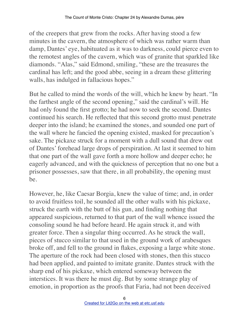of the creepers that grew from the rocks. After having stood a few minutes in the cavern, the atmosphere of which was rather warm than damp, Dantes' eye, habituated as it was to darkness, could pierce even to the remotest angles of the cavern, which was of granite that sparkled like diamonds. "Alas," said Edmond, smiling, "these are the treasures the cardinal has left; and the good abbe, seeing in a dream these glittering walls, has indulged in fallacious hopes."

But he called to mind the words of the will, which he knew by heart. "In the farthest angle of the second opening," said the cardinal's will. He had only found the first grotto; he had now to seek the second. Dantes continued his search. He reflected that this second grotto must penetrate deeper into the island; he examined the stones, and sounded one part of the wall where he fancied the opening existed, masked for precaution's sake. The pickaxe struck for a moment with a dull sound that drew out of Dantes' forehead large drops of perspiration. At last it seemed to him that one part of the wall gave forth a more hollow and deeper echo; he eagerly advanced, and with the quickness of perception that no one but a prisoner possesses, saw that there, in all probability, the opening must be.

However, he, like Caesar Borgia, knew the value of time; and, in order to avoid fruitless toil, he sounded all the other walls with his pickaxe, struck the earth with the butt of his gun, and finding nothing that appeared suspicious, returned to that part of the wall whence issued the consoling sound he had before heard. He again struck it, and with greater force. Then a singular thing occurred. As he struck the wall, pieces of stucco similar to that used in the ground work of arabesques broke off, and fell to the ground in flakes, exposing a large white stone. The aperture of the rock had been closed with stones, then this stucco had been applied, and painted to imitate granite. Dantes struck with the sharp end of his pickaxe, which entered someway between the interstices. It was there he must dig. But by some strange play of emotion, in proportion as the proofs that Faria, had not been deceived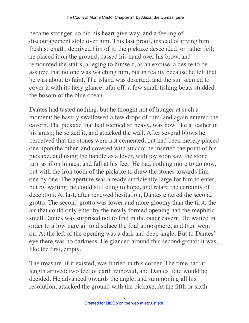became stronger, so did his heart give way, and a feeling of discouragement stole over him. This last proof, instead of giving him fresh strength, deprived him of it; the pickaxe descended, or rather fell; he placed it on the ground, passed his hand over his brow, and remounted the stairs, alleging to himself, as an excuse, a desire to be assured that no one was watching him, but in reality because he felt that he was about to faint. The island was deserted, and the sun seemed to cover it with its fiery glance; afar off, a few small fishing boats studded the bosom of the blue ocean.

Dantes had tasted nothing, but he thought not of hunger at such a moment; he hastily swallowed a few drops of rum, and again entered the cavern. The pickaxe that had seemed so heavy, was now like a feather in his grasp; he seized it, and attacked the wall. After several blows he perceived that the stones were not cemented, but had been merely placed one upon the other, and covered with stucco; he inserted the point of his pickaxe, and using the handle as a lever, with joy soon saw the stone turn as if on hinges, and fall at his feet. He had nothing more to do now, but with the iron tooth of the pickaxe to draw the stones towards him one by one. The aperture was already sufficiently large for him to enter, but by waiting, he could still cling to hope, and retard the certainty of deception. At last, after renewed hesitation, Dantes entered the second grotto. The second grotto was lower and more gloomy than the first; the air that could only enter by the newly formed opening had the mephitic smell Dantes was surprised not to find in the outer cavern. He waited in order to allow pure air to displace the foul atmosphere, and then went on. At the left of the opening was a dark and deep angle. But to Dantes' eye there was no darkness. He glanced around this second grotto; it was, like the first, empty.

The treasure, if it existed, was buried in this corner. The time had at length arrived; two feet of earth removed, and Dantes' fate would be decided. He advanced towards the angle, and summoning all his resolution, attacked the ground with the pickaxe. At the fifth or sixth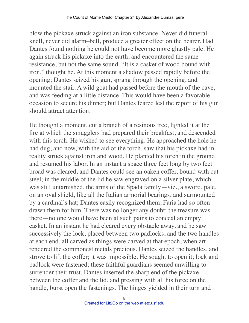blow the pickaxe struck against an iron substance. Never did funeral knell, never did alarm–bell, produce a greater effect on the hearer. Had Dantes found nothing he could not have become more ghastly pale. He again struck his pickaxe into the earth, and encountered the same resistance, but not the same sound. "It is a casket of wood bound with iron," thought he. At this moment a shadow passed rapidly before the opening; Dantes seized his gun, sprang through the opening, and mounted the stair. A wild goat had passed before the mouth of the cave, and was feeding at a little distance. This would have been a favorable occasion to secure his dinner; but Dantes feared lest the report of his gun should attract attention.

He thought a moment, cut a branch of a resinous tree, lighted it at the fire at which the smugglers had prepared their breakfast, and descended with this torch. He wished to see everything. He approached the hole he had dug, and now, with the aid of the torch, saw that his pickaxe had in reality struck against iron and wood. He planted his torch in the ground and resumed his labor. In an instant a space three feet long by two feet broad was cleared, and Dantes could see an oaken coffer, bound with cut steel; in the middle of the lid he saw engraved on a silver plate, which was still untarnished, the arms of the Spada family—viz., a sword, pale, on an oval shield, like all the Italian armorial bearings, and surmounted by a cardinal's hat; Dantes easily recognized them, Faria had so often drawn them for him. There was no longer any doubt: the treasure was there—no one would have been at such pains to conceal an empty casket. In an instant he had cleared every obstacle away, and he saw successively the lock, placed between two padlocks, and the two handles at each end, all carved as things were carved at that epoch, when art rendered the commonest metals precious. Dantes seized the handles, and strove to lift the coffer; it was impossible. He sought to open it; lock and padlock were fastened; these faithful guardians seemed unwilling to surrender their trust. Dantes inserted the sharp end of the pickaxe between the coffer and the lid, and pressing with all his force on the handle, burst open the fastenings. The hinges yielded in their turn and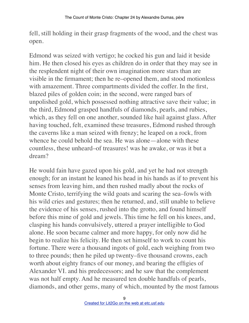fell, still holding in their grasp fragments of the wood, and the chest was open.

Edmond was seized with vertigo; he cocked his gun and laid it beside him. He then closed his eyes as children do in order that they may see in the resplendent night of their own imagination more stars than are visible in the firmament; then he re–opened them, and stood motionless with amazement. Three compartments divided the coffer. In the first, blazed piles of golden coin; in the second, were ranged bars of unpolished gold, which possessed nothing attractive save their value; in the third, Edmond grasped handfuls of diamonds, pearls, and rubies, which, as they fell on one another, sounded like hail against glass. After having touched, felt, examined these treasures, Edmond rushed through the caverns like a man seized with frenzy; he leaped on a rock, from whence he could behold the sea. He was alone—alone with these countless, these unheard–of treasures! was he awake, or was it but a dream?

He would fain have gazed upon his gold, and yet he had not strength enough; for an instant he leaned his head in his hands as if to prevent his senses from leaving him, and then rushed madly about the rocks of Monte Cristo, terrifying the wild goats and scaring the sea–fowls with his wild cries and gestures; then he returned, and, still unable to believe the evidence of his senses, rushed into the grotto, and found himself before this mine of gold and jewels. This time he fell on his knees, and, clasping his hands convulsively, uttered a prayer intelligible to God alone. He soon became calmer and more happy, for only now did he begin to realize his felicity. He then set himself to work to count his fortune. There were a thousand ingots of gold, each weighing from two to three pounds; then he piled up twenty–five thousand crowns, each worth about eighty francs of our money, and bearing the effigies of Alexander VI. and his predecessors; and he saw that the complement was not half empty. And he measured ten double handfuls of pearls, diamonds, and other gems, many of which, mounted by the most famous